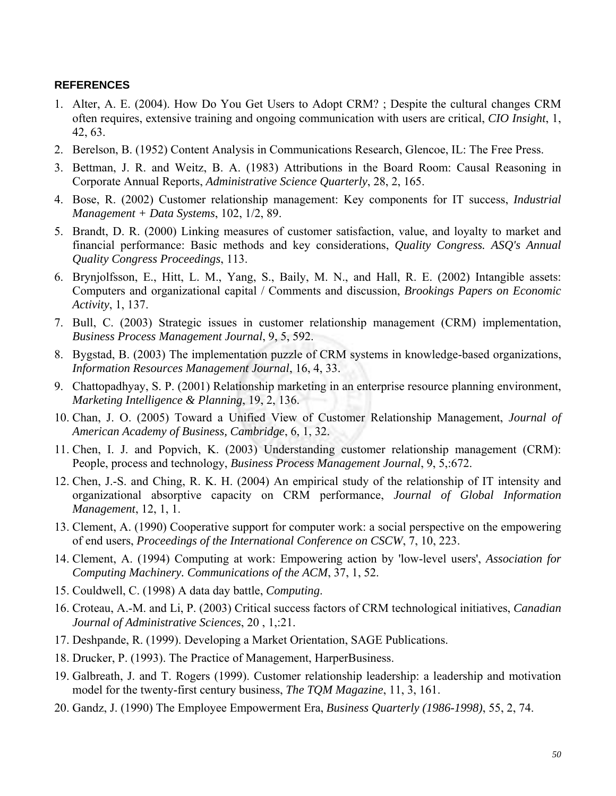## **REFERENCES**

- 1. Alter, A. E. (2004). How Do You Get Users to Adopt CRM? ; Despite the cultural changes CRM often requires, extensive training and ongoing communication with users are critical, *CIO Insight*, 1, 42, 63.
- 2. Berelson, B. (1952) Content Analysis in Communications Research, Glencoe, IL: The Free Press.
- 3. Bettman, J. R. and Weitz, B. A. (1983) Attributions in the Board Room: Causal Reasoning in Corporate Annual Reports, *Administrative Science Quarterly*, 28, 2, 165.
- 4. Bose, R. (2002) Customer relationship management: Key components for IT success, *Industrial Management + Data Systems*, 102, 1/2, 89.
- 5. Brandt, D. R. (2000) Linking measures of customer satisfaction, value, and loyalty to market and financial performance: Basic methods and key considerations, *Quality Congress. ASQ's Annual Quality Congress Proceedings*, 113.
- 6. Brynjolfsson, E., Hitt, L. M., Yang, S., Baily, M. N., and Hall, R. E. (2002) Intangible assets: Computers and organizational capital / Comments and discussion, *Brookings Papers on Economic Activity*, 1, 137.
- 7. Bull, C. (2003) Strategic issues in customer relationship management (CRM) implementation, *Business Process Management Journal*, 9, 5, 592.
- 8. Bygstad, B. (2003) The implementation puzzle of CRM systems in knowledge-based organizations, *Information Resources Management Journal*, 16, 4, 33.
- 9. Chattopadhyay, S. P. (2001) Relationship marketing in an enterprise resource planning environment, *Marketing Intelligence & Planning*, 19, 2, 136.
- 10. Chan, J. O. (2005) Toward a Unified View of Customer Relationship Management, *Journal of American Academy of Business, Cambridge*, 6, 1, 32.
- 11. Chen, I. J. and Popvich, K. (2003) Understanding customer relationship management (CRM): People, process and technology, *Business Process Management Journal*, 9, 5,:672.
- 12. Chen, J.-S. and Ching, R. K. H. (2004) An empirical study of the relationship of IT intensity and organizational absorptive capacity on CRM performance, *Journal of Global Information Management*, 12, 1, 1.
- 13. Clement, A. (1990) Cooperative support for computer work: a social perspective on the empowering of end users, *Proceedings of the International Conference on CSCW*, 7, 10, 223.
- 14. Clement, A. (1994) Computing at work: Empowering action by 'low-level users', *Association for Computing Machinery. Communications of the ACM*, 37, 1, 52.
- 15. Couldwell, C. (1998) A data day battle, *Computing*.
- 16. Croteau, A.-M. and Li, P. (2003) Critical success factors of CRM technological initiatives, *Canadian Journal of Administrative Sciences*, 20 , 1,:21.
- 17. Deshpande, R. (1999). Developing a Market Orientation, SAGE Publications.
- 18. Drucker, P. (1993). The Practice of Management, HarperBusiness.
- 19. Galbreath, J. and T. Rogers (1999). Customer relationship leadership: a leadership and motivation model for the twenty-first century business, *The TQM Magazine*, 11, 3, 161.
- 20. Gandz, J. (1990) The Employee Empowerment Era, *Business Quarterly (1986-1998)*, 55, 2, 74.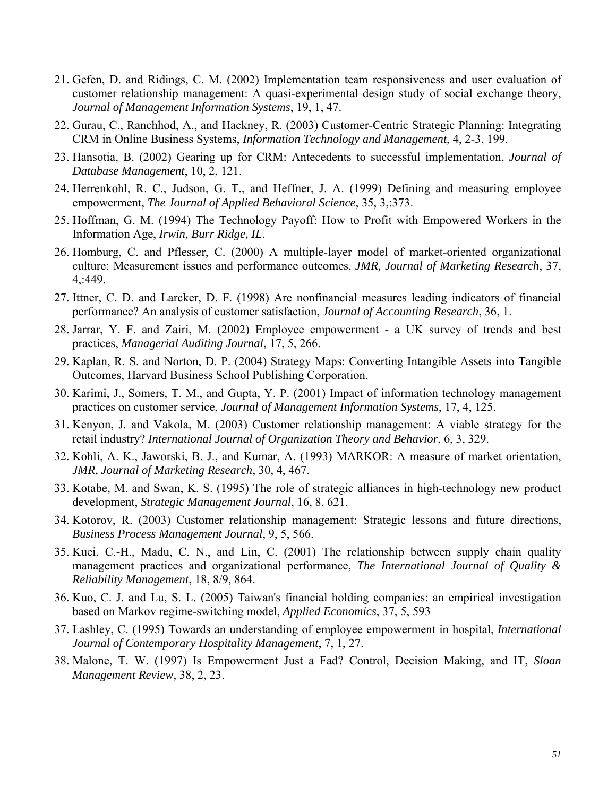- 21. Gefen, D. and Ridings, C. M. (2002) Implementation team responsiveness and user evaluation of customer relationship management: A quasi-experimental design study of social exchange theory, *Journal of Management Information Systems*, 19, 1, 47.
- 22. Gurau, C., Ranchhod, A., and Hackney, R. (2003) Customer-Centric Strategic Planning: Integrating CRM in Online Business Systems, *Information Technology and Management*, 4, 2-3, 199.
- 23. Hansotia, B. (2002) Gearing up for CRM: Antecedents to successful implementation, *Journal of Database Management*, 10, 2, 121.
- 24. Herrenkohl, R. C., Judson, G. T., and Heffner, J. A. (1999) Defining and measuring employee empowerment, *The Journal of Applied Behavioral Science*, 35, 3,:373.
- 25. Hoffman, G. M. (1994) The Technology Payoff: How to Profit with Empowered Workers in the Information Age, *Irwin, Burr Ridge, IL*.
- 26. Homburg, C. and Pflesser, C. (2000) A multiple-layer model of market-oriented organizational culture: Measurement issues and performance outcomes, *JMR, Journal of Marketing Research*, 37, 4,:449.
- 27. Ittner, C. D. and Larcker, D. F. (1998) Are nonfinancial measures leading indicators of financial performance? An analysis of customer satisfaction, *Journal of Accounting Research*, 36, 1.
- 28. Jarrar, Y. F. and Zairi, M. (2002) Employee empowerment a UK survey of trends and best practices, *Managerial Auditing Journal*, 17, 5, 266.
- 29. Kaplan, R. S. and Norton, D. P. (2004) Strategy Maps: Converting Intangible Assets into Tangible Outcomes, Harvard Business School Publishing Corporation.
- 30. Karimi, J., Somers, T. M., and Gupta, Y. P. (2001) Impact of information technology management practices on customer service, *Journal of Management Information Systems*, 17, 4, 125.
- 31. Kenyon, J. and Vakola, M. (2003) Customer relationship management: A viable strategy for the retail industry? *International Journal of Organization Theory and Behavior*, 6, 3, 329.
- 32. Kohli, A. K., Jaworski, B. J., and Kumar, A. (1993) MARKOR: A measure of market orientation, *JMR, Journal of Marketing Research*, 30, 4, 467.
- 33. Kotabe, M. and Swan, K. S. (1995) The role of strategic alliances in high-technology new product development, *Strategic Management Journal*, 16, 8, 621.
- 34. Kotorov, R. (2003) Customer relationship management: Strategic lessons and future directions, *Business Process Management Journal*, 9, 5, 566.
- 35. Kuei, C.-H., Madu, C. N., and Lin, C. (2001) The relationship between supply chain quality management practices and organizational performance, *The International Journal of Quality & Reliability Management*, 18, 8/9, 864.
- 36. Kuo, C. J. and Lu, S. L. (2005) Taiwan's financial holding companies: an empirical investigation based on Markov regime-switching model, *Applied Economics*, 37, 5, 593
- 37. Lashley, C. (1995) Towards an understanding of employee empowerment in hospital, *International Journal of Contemporary Hospitality Management*, 7, 1, 27.
- 38. Malone, T. W. (1997) Is Empowerment Just a Fad? Control, Decision Making, and IT, *Sloan Management Review*, 38, 2, 23.